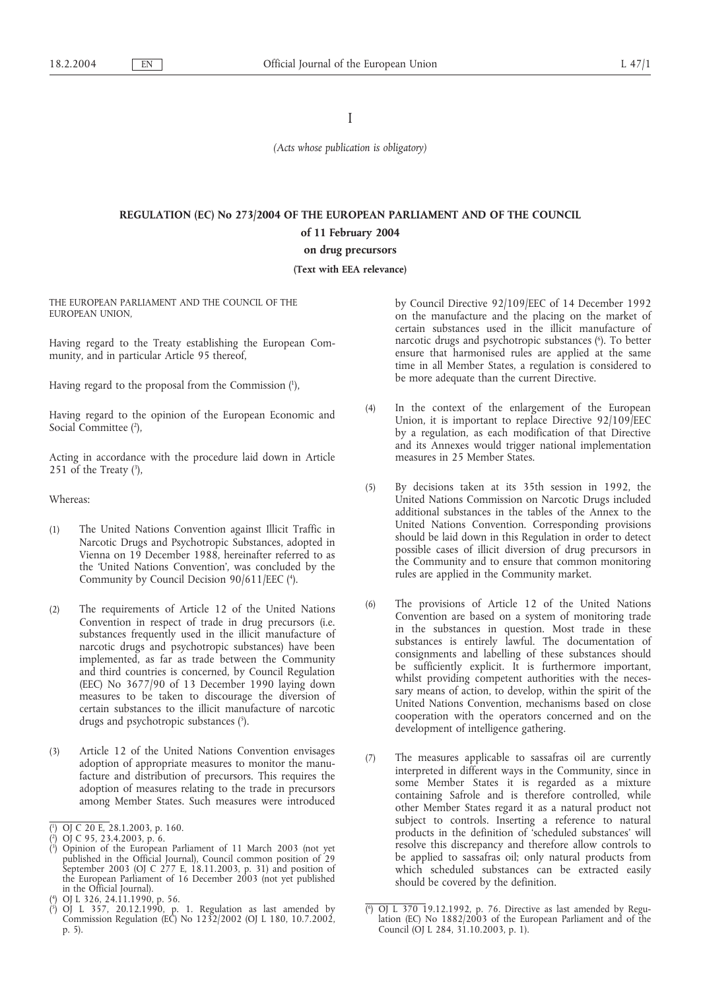I

*(Acts whose publication is obligatory)*

# **REGULATION (EC) No 273/2004 OF THE EUROPEAN PARLIAMENT AND OF THE COUNCIL of 11 February 2004**

# **on drug precursors**

#### **(Text with EEA relevance)**

THE EUROPEAN PARLIAMENT AND THE COUNCIL OF THE EUROPEAN UNION,

Having regard to the Treaty establishing the European Community, and in particular Article 95 thereof,

Having regard to the proposal from the Commission (1 ),

Having regard to the opinion of the European Economic and Social Committee (2),

Acting in accordance with the procedure laid down in Article 251 of the Treaty  $(3)$ ,

# Whereas:

- (1) The United Nations Convention against Illicit Traffic in Narcotic Drugs and Psychotropic Substances, adopted in Vienna on 19 December 1988, hereinafter referred to as the 'United Nations Convention', was concluded by the Community by Council Decision 90/611/EEC (4 ).
- (2) The requirements of Article 12 of the United Nations Convention in respect of trade in drug precursors (i.e. substances frequently used in the illicit manufacture of narcotic drugs and psychotropic substances) have been implemented, as far as trade between the Community and third countries is concerned, by Council Regulation (EEC) No 3677/90 of 13 December 1990 laying down measures to be taken to discourage the diversion of certain substances to the illicit manufacture of narcotic drugs and psychotropic substances (5).
- (3) Article 12 of the United Nations Convention envisages adoption of appropriate measures to monitor the manufacture and distribution of precursors. This requires the adoption of measures relating to the trade in precursors among Member States. Such measures were introduced

by Council Directive 92/109/EEC of 14 December 1992 on the manufacture and the placing on the market of certain substances used in the illicit manufacture of narcotic drugs and psychotropic substances (6 ). To better ensure that harmonised rules are applied at the same time in all Member States, a regulation is considered to be more adequate than the current Directive.

- (4) In the context of the enlargement of the European Union, it is important to replace Directive 92/109/EEC by a regulation, as each modification of that Directive and its Annexes would trigger national implementation measures in 25 Member States.
- (5) By decisions taken at its 35th session in 1992, the United Nations Commission on Narcotic Drugs included additional substances in the tables of the Annex to the United Nations Convention. Corresponding provisions should be laid down in this Regulation in order to detect possible cases of illicit diversion of drug precursors in the Community and to ensure that common monitoring rules are applied in the Community market.
- (6) The provisions of Article 12 of the United Nations Convention are based on a system of monitoring trade in the substances in question. Most trade in these substances is entirely lawful. The documentation of consignments and labelling of these substances should be sufficiently explicit. It is furthermore important, whilst providing competent authorities with the necessary means of action, to develop, within the spirit of the United Nations Convention, mechanisms based on close cooperation with the operators concerned and on the development of intelligence gathering.
- (7) The measures applicable to sassafras oil are currently interpreted in different ways in the Community, since in some Member States it is regarded as a mixture containing Safrole and is therefore controlled, while other Member States regard it as a natural product not subject to controls. Inserting a reference to natural products in the definition of 'scheduled substances' will resolve this discrepancy and therefore allow controls to be applied to sassafras oil; only natural products from which scheduled substances can be extracted easily should be covered by the definition.

<sup>(</sup> 1 ) OJ C 20 E, 28.1.2003, p. 160.

<sup>(</sup> 2 ) OJ C 95, 23.4.2003, p. 6.

<sup>(</sup> 3 ) Opinion of the European Parliament of 11 March 2003 (not yet published in the Official Journal), Council common position of 29 September 2003 (OJ C 277 E, 18.11.2003, p. 31) and position of the European Parliament of 16 December 2003 (not yet published in the Official Journal).

<sup>(</sup> 4 ) OJ L 326, 24.11.1990, p. 56.

<sup>(</sup> 5 ) OJ L 357, 20.12.1990, p. 1. Regulation as last amended by Commission Regulation (EC) No 1232/2002 (OJ L 180, 10.7.2002, p. 5).

<sup>(</sup> 6 ) OJ L 370 19.12.1992, p. 76. Directive as last amended by Regulation (EC) No 1882/2003 of the European Parliament and of the Council (OJ L 284, 31.10.2003, p. 1).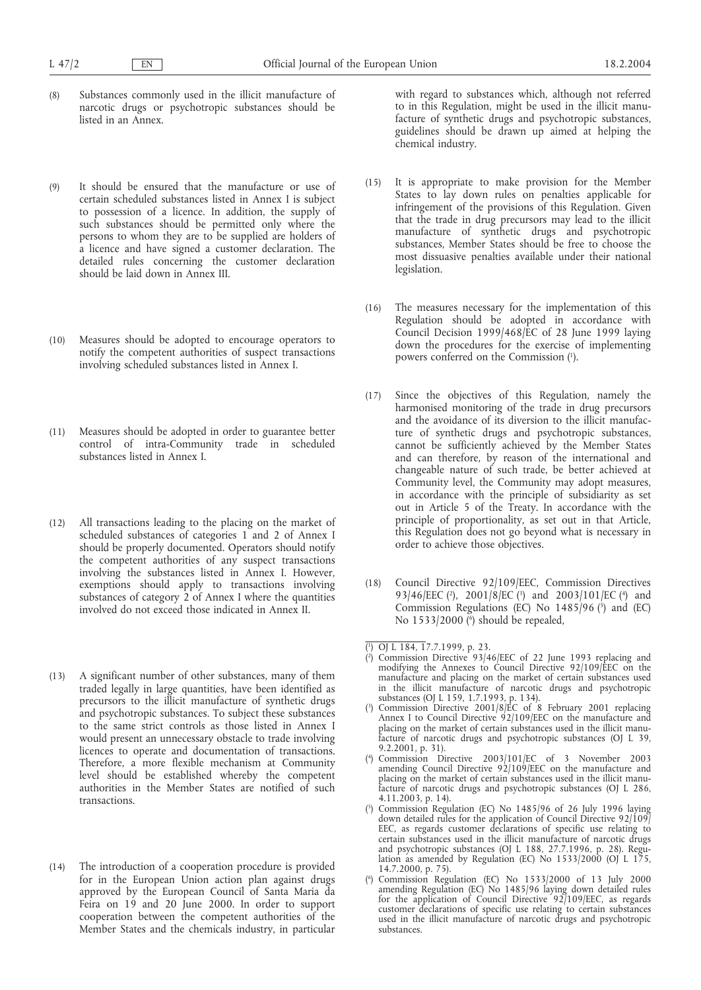- (8) Substances commonly used in the illicit manufacture of narcotic drugs or psychotropic substances should be listed in an Annex.
- (9) It should be ensured that the manufacture or use of certain scheduled substances listed in Annex I is subject to possession of a licence. In addition, the supply of such substances should be permitted only where the persons to whom they are to be supplied are holders of a licence and have signed a customer declaration. The detailed rules concerning the customer declaration should be laid down in Annex III.
- (10) Measures should be adopted to encourage operators to notify the competent authorities of suspect transactions involving scheduled substances listed in Annex I.
- (11) Measures should be adopted in order to guarantee better control of intra-Community trade in scheduled substances listed in Annex I.
- (12) All transactions leading to the placing on the market of scheduled substances of categories 1 and 2 of Annex I should be properly documented. Operators should notify the competent authorities of any suspect transactions involving the substances listed in Annex I. However, exemptions should apply to transactions involving substances of category 2 of Annex I where the quantities involved do not exceed those indicated in Annex II.
- (13) A significant number of other substances, many of them traded legally in large quantities, have been identified as precursors to the illicit manufacture of synthetic drugs and psychotropic substances. To subject these substances to the same strict controls as those listed in Annex I would present an unnecessary obstacle to trade involving licences to operate and documentation of transactions. Therefore, a more flexible mechanism at Community level should be established whereby the competent authorities in the Member States are notified of such transactions.
- (14) The introduction of a cooperation procedure is provided for in the European Union action plan against drugs approved by the European Council of Santa Maria da Feira on 19 and 20 June 2000. In order to support cooperation between the competent authorities of the Member States and the chemicals industry, in particular

with regard to substances which, although not referred to in this Regulation, might be used in the illicit manufacture of synthetic drugs and psychotropic substances, guidelines should be drawn up aimed at helping the chemical industry.

- (15) It is appropriate to make provision for the Member States to lay down rules on penalties applicable for infringement of the provisions of this Regulation. Given that the trade in drug precursors may lead to the illicit manufacture of synthetic drugs and psychotropic substances, Member States should be free to choose the most dissuasive penalties available under their national legislation.
- (16) The measures necessary for the implementation of this Regulation should be adopted in accordance with Council Decision 1999/468/EC of 28 June 1999 laying down the procedures for the exercise of implementing powers conferred on the Commission (1).
- (17) Since the objectives of this Regulation, namely the harmonised monitoring of the trade in drug precursors and the avoidance of its diversion to the illicit manufacture of synthetic drugs and psychotropic substances, cannot be sufficiently achieved by the Member States and can therefore, by reason of the international and changeable nature of such trade, be better achieved at Community level, the Community may adopt measures, in accordance with the principle of subsidiarity as set out in Article 5 of the Treaty. In accordance with the principle of proportionality, as set out in that Article, this Regulation does not go beyond what is necessary in order to achieve those objectives.
- (18) Council Directive 92/109/EEC, Commission Directives 93/46/EEC (2), 2001/8/EC (3) and 2003/101/EC (4) and Commission Regulations (EC) No  $1485/96$  ( $\bar{5}$ ) and (EC) No 1533/2000 (6 ) should be repealed,

<sup>(</sup> 1 ) OJ L 184, 17.7.1999, p. 23.

<sup>(</sup> 2 ) Commission Directive 93/46/EEC of 22 June 1993 replacing and modifying the Annexes to Council Directive 92/109/EEC on the manufacture and placing on the market of certain substances used in the illicit manufacture of narcotic drugs and psychotropic substances (OJ L 159, 1.7.1993, p. 134).

<sup>(</sup> 3 ) Commission Directive 2001/8/EC of 8 February 2001 replacing Annex I to Council Directive 92/109/EEC on the manufacture and placing on the market of certain substances used in the illicit manufacture of narcotic drugs and psychotropic substances (OJ L 39, 9.2.2001, p. 31).

<sup>(</sup> 4 ) Commission Directive 2003/101/EC of 3 November 2003 amending Council Directive 92/109/EEC on the manufacture and placing on the market of certain substances used in the illicit manufacture of narcotic drugs and psychotropic substances (OJ L 286, 4.11.2003, p. 14).

<sup>(</sup> 5 ) Commission Regulation (EC) No 1485/96 of 26 July 1996 laying down detailed rules for the application of Council Directive 92/109/ EEC, as regards customer declarations of specific use relating to certain substances used in the illicit manufacture of narcotic drugs and psychotropic substances (OJ L 188, 27.7.1996, p. 28). Regulation as amended by Regulation (EC) No 1533/2000 (OJ L 175, 14.7.2000, p. 75).

<sup>(</sup> 6 ) Commission Regulation (EC) No 1533/2000 of 13 July 2000 amending Regulation (EC) No 1485/96 laying down detailed rules for the application of Council Directive 92/109/EEC, as regards customer declarations of specific use relating to certain substances used in the illicit manufacture of narcotic drugs and psychotropic substances.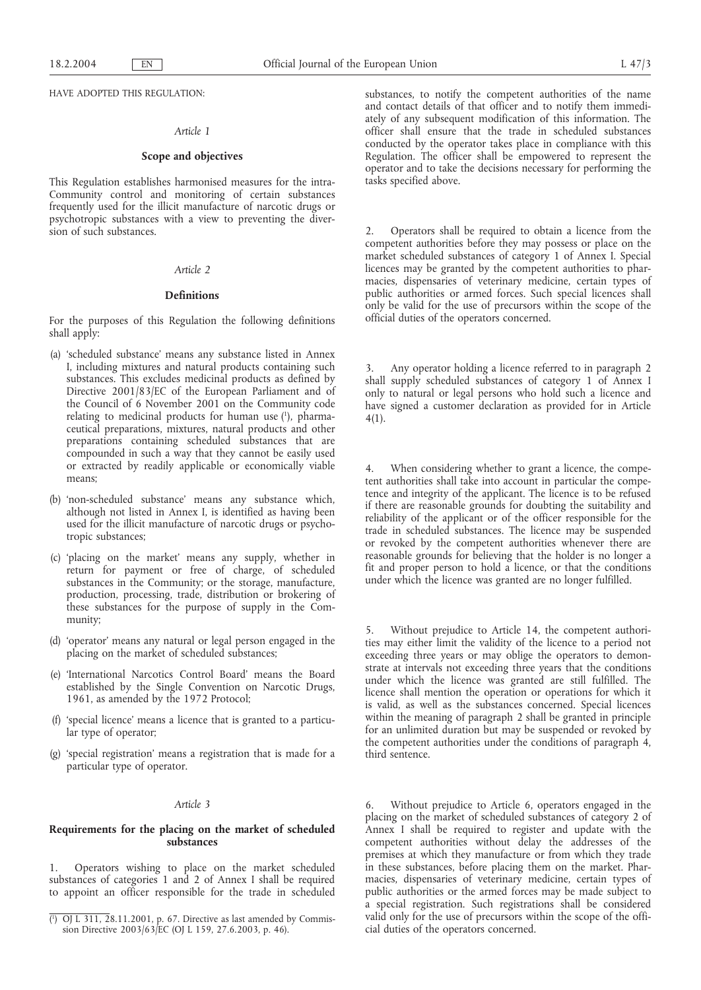HAVE ADOPTED THIS REGULATION:

# *Article 1*

# **Scope and objectives**

This Regulation establishes harmonised measures for the intra-Community control and monitoring of certain substances frequently used for the illicit manufacture of narcotic drugs or psychotropic substances with a view to preventing the diversion of such substances.

# *Article 2*

#### **Definitions**

For the purposes of this Regulation the following definitions shall apply:

- (a) 'scheduled substance' means any substance listed in Annex I, including mixtures and natural products containing such substances. This excludes medicinal products as defined by Directive 2001/83/EC of the European Parliament and of the Council of 6 November 2001 on the Community code relating to medicinal products for human use (1), pharmaceutical preparations, mixtures, natural products and other preparations containing scheduled substances that are compounded in such a way that they cannot be easily used or extracted by readily applicable or economically viable means;
- (b) 'non-scheduled substance' means any substance which, although not listed in Annex I, is identified as having been used for the illicit manufacture of narcotic drugs or psychotropic substances;
- (c) 'placing on the market' means any supply, whether in return for payment or free of charge, of scheduled substances in the Community; or the storage, manufacture, production, processing, trade, distribution or brokering of these substances for the purpose of supply in the Community;
- (d) 'operator' means any natural or legal person engaged in the placing on the market of scheduled substances;
- (e) 'International Narcotics Control Board' means the Board established by the Single Convention on Narcotic Drugs, 1961, as amended by the 1972 Protocol;
- (f) 'special licence' means a licence that is granted to a particular type of operator;
- (g) 'special registration' means a registration that is made for a particular type of operator.

# *Article 3*

# **Requirements for the placing on the market of scheduled substances**

1. Operators wishing to place on the market scheduled substances of categories 1 and 2 of Annex I shall be required to appoint an officer responsible for the trade in scheduled substances, to notify the competent authorities of the name and contact details of that officer and to notify them immediately of any subsequent modification of this information. The officer shall ensure that the trade in scheduled substances conducted by the operator takes place in compliance with this Regulation. The officer shall be empowered to represent the operator and to take the decisions necessary for performing the tasks specified above.

2. Operators shall be required to obtain a licence from the competent authorities before they may possess or place on the market scheduled substances of category 1 of Annex I. Special licences may be granted by the competent authorities to pharmacies, dispensaries of veterinary medicine, certain types of public authorities or armed forces. Such special licences shall only be valid for the use of precursors within the scope of the official duties of the operators concerned.

Any operator holding a licence referred to in paragraph 2 shall supply scheduled substances of category 1 of Annex I only to natural or legal persons who hold such a licence and have signed a customer declaration as provided for in Article 4(1).

4. When considering whether to grant a licence, the competent authorities shall take into account in particular the competence and integrity of the applicant. The licence is to be refused if there are reasonable grounds for doubting the suitability and reliability of the applicant or of the officer responsible for the trade in scheduled substances. The licence may be suspended or revoked by the competent authorities whenever there are reasonable grounds for believing that the holder is no longer a fit and proper person to hold a licence, or that the conditions under which the licence was granted are no longer fulfilled.

5. Without prejudice to Article 14, the competent authorities may either limit the validity of the licence to a period not exceeding three years or may oblige the operators to demonstrate at intervals not exceeding three years that the conditions under which the licence was granted are still fulfilled. The licence shall mention the operation or operations for which it is valid, as well as the substances concerned. Special licences within the meaning of paragraph 2 shall be granted in principle for an unlimited duration but may be suspended or revoked by the competent authorities under the conditions of paragraph 4, third sentence.

6. Without prejudice to Article 6, operators engaged in the placing on the market of scheduled substances of category 2 of Annex I shall be required to register and update with the competent authorities without delay the addresses of the premises at which they manufacture or from which they trade in these substances, before placing them on the market. Pharmacies, dispensaries of veterinary medicine, certain types of public authorities or the armed forces may be made subject to a special registration. Such registrations shall be considered valid only for the use of precursors within the scope of the official duties of the operators concerned.

<sup>(</sup> 1 ) OJ L 311, 28.11.2001, p. 67. Directive as last amended by Commission Directive 2003/63/EC (OJ L 159, 27.6.2003, p. 46).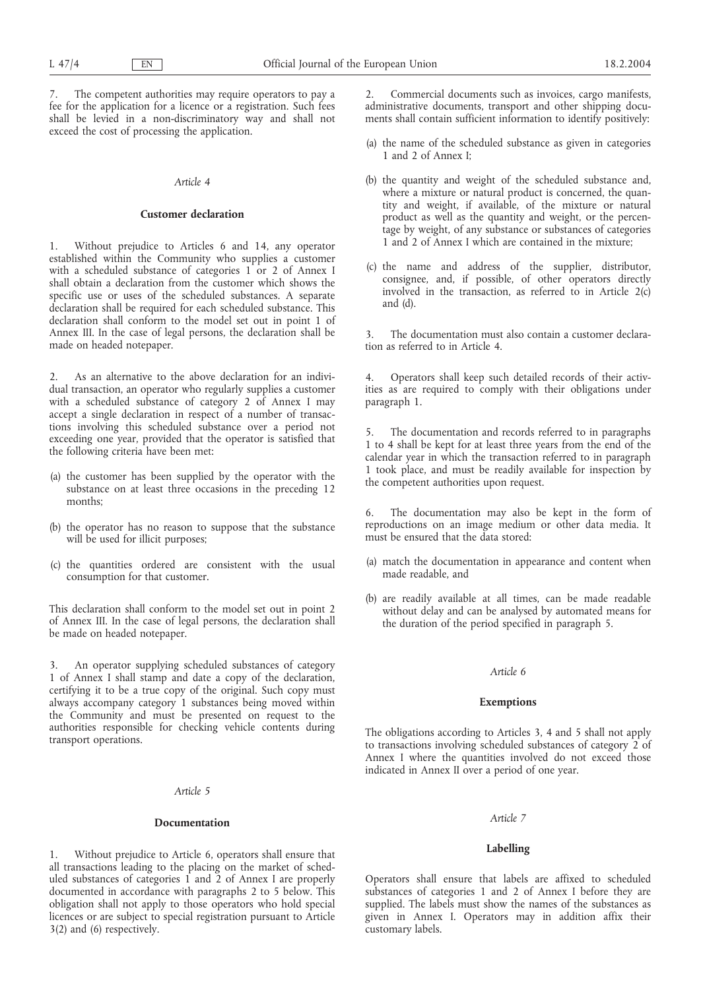7. The competent authorities may require operators to pay a fee for the application for a licence or a registration. Such fees shall be levied in a non-discriminatory way and shall not exceed the cost of processing the application.

#### *Article 4*

# **Customer declaration**

1. Without prejudice to Articles 6 and 14, any operator established within the Community who supplies a customer with a scheduled substance of categories 1 or 2 of Annex I shall obtain a declaration from the customer which shows the specific use or uses of the scheduled substances. A separate declaration shall be required for each scheduled substance. This declaration shall conform to the model set out in point 1 of Annex III. In the case of legal persons, the declaration shall be made on headed notepaper.

2. As an alternative to the above declaration for an individual transaction, an operator who regularly supplies a customer with a scheduled substance of category 2 of Annex I may accept a single declaration in respect of a number of transactions involving this scheduled substance over a period not exceeding one year, provided that the operator is satisfied that the following criteria have been met:

- (a) the customer has been supplied by the operator with the substance on at least three occasions in the preceding 12 months;
- (b) the operator has no reason to suppose that the substance will be used for illicit purposes;
- (c) the quantities ordered are consistent with the usual consumption for that customer.

This declaration shall conform to the model set out in point 2 of Annex III. In the case of legal persons, the declaration shall be made on headed notepaper.

An operator supplying scheduled substances of category 1 of Annex I shall stamp and date a copy of the declaration, certifying it to be a true copy of the original. Such copy must always accompany category 1 substances being moved within the Community and must be presented on request to the authorities responsible for checking vehicle contents during transport operations.

# *Article 5*

#### **Documentation**

1. Without prejudice to Article 6, operators shall ensure that all transactions leading to the placing on the market of scheduled substances of categories 1 and 2 of Annex I are properly documented in accordance with paragraphs 2 to 5 below. This obligation shall not apply to those operators who hold special licences or are subject to special registration pursuant to Article 3(2) and (6) respectively.

2. Commercial documents such as invoices, cargo manifests, administrative documents, transport and other shipping documents shall contain sufficient information to identify positively:

- (a) the name of the scheduled substance as given in categories 1 and 2 of Annex I;
- (b) the quantity and weight of the scheduled substance and, where a mixture or natural product is concerned, the quantity and weight, if available, of the mixture or natural product as well as the quantity and weight, or the percentage by weight, of any substance or substances of categories 1 and 2 of Annex I which are contained in the mixture;
- (c) the name and address of the supplier, distributor, consignee, and, if possible, of other operators directly involved in the transaction, as referred to in Article  $2(c)$ and (d).

3. The documentation must also contain a customer declaration as referred to in Article 4.

4. Operators shall keep such detailed records of their activities as are required to comply with their obligations under paragraph 1.

5. The documentation and records referred to in paragraphs 1 to 4 shall be kept for at least three years from the end of the calendar year in which the transaction referred to in paragraph 1 took place, and must be readily available for inspection by the competent authorities upon request.

6. The documentation may also be kept in the form of reproductions on an image medium or other data media. It must be ensured that the data stored:

- (a) match the documentation in appearance and content when made readable, and
- (b) are readily available at all times, can be made readable without delay and can be analysed by automated means for the duration of the period specified in paragraph 5.

# *Article 6*

#### **Exemptions**

The obligations according to Articles 3, 4 and 5 shall not apply to transactions involving scheduled substances of category 2 of Annex I where the quantities involved do not exceed those indicated in Annex II over a period of one year.

#### *Article 7*

## **Labelling**

Operators shall ensure that labels are affixed to scheduled substances of categories 1 and 2 of Annex I before they are supplied. The labels must show the names of the substances as given in Annex I. Operators may in addition affix their customary labels.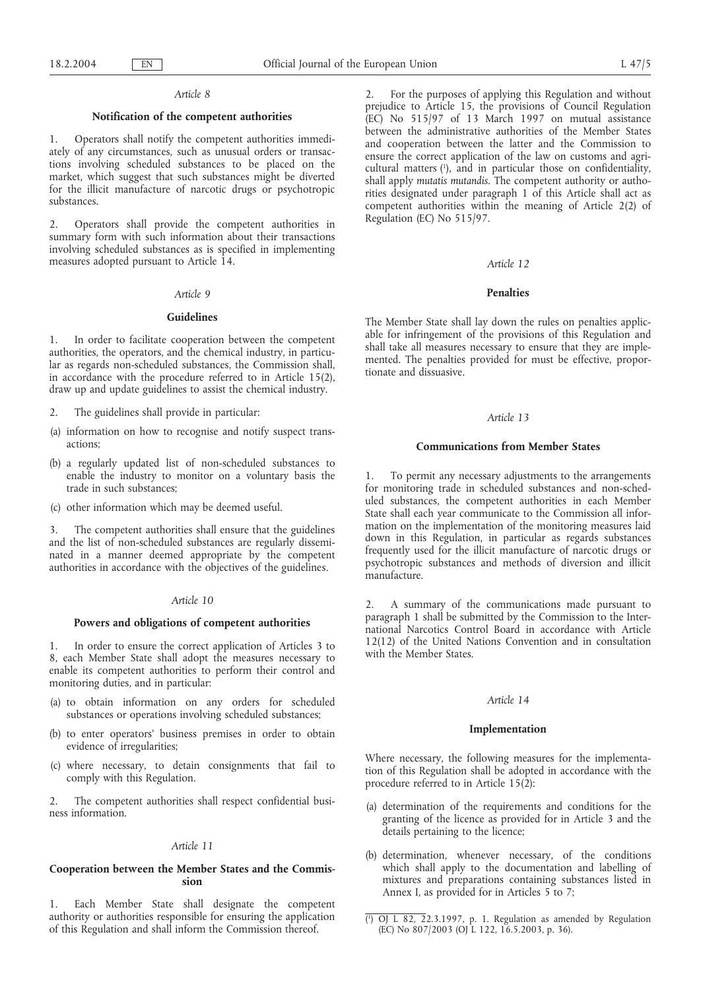#### *Article 8*

# **Notification of the competent authorities**

1. Operators shall notify the competent authorities immediately of any circumstances, such as unusual orders or transactions involving scheduled substances to be placed on the market, which suggest that such substances might be diverted for the illicit manufacture of narcotic drugs or psychotropic substances.

2. Operators shall provide the competent authorities in summary form with such information about their transactions involving scheduled substances as is specified in implementing measures adopted pursuant to Article 14.

#### *Article 9*

# **Guidelines**

1. In order to facilitate cooperation between the competent authorities, the operators, and the chemical industry, in particular as regards non-scheduled substances, the Commission shall, in accordance with the procedure referred to in Article 15(2), draw up and update guidelines to assist the chemical industry.

- 2. The guidelines shall provide in particular:
- (a) information on how to recognise and notify suspect transactions;
- (b) a regularly updated list of non-scheduled substances to enable the industry to monitor on a voluntary basis the trade in such substances;
- (c) other information which may be deemed useful.

3. The competent authorities shall ensure that the guidelines and the list of non-scheduled substances are regularly disseminated in a manner deemed appropriate by the competent authorities in accordance with the objectives of the guidelines.

# *Article 10*

# **Powers and obligations of competent authorities**

1. In order to ensure the correct application of Articles 3 to 8, each Member State shall adopt the measures necessary to enable its competent authorities to perform their control and monitoring duties, and in particular:

- (a) to obtain information on any orders for scheduled substances or operations involving scheduled substances;
- (b) to enter operators' business premises in order to obtain evidence of irregularities;
- (c) where necessary, to detain consignments that fail to comply with this Regulation.

2. The competent authorities shall respect confidential business information.

# *Article 11*

# **Cooperation between the Member States and the Commission**

1. Each Member State shall designate the competent authority or authorities responsible for ensuring the application of this Regulation and shall inform the Commission thereof.

2. For the purposes of applying this Regulation and without prejudice to Article 15, the provisions of Council Regulation (EC) No 515/97 of 13 March 1997 on mutual assistance between the administrative authorities of the Member States and cooperation between the latter and the Commission to ensure the correct application of the law on customs and agricultural matters (1 ), and in particular those on confidentiality, shall apply *mutatis mutandis*. The competent authority or authorities designated under paragraph 1 of this Article shall act as competent authorities within the meaning of Article 2(2) of Regulation (EC) No 515/97.

#### *Article 12*

# **Penalties**

The Member State shall lay down the rules on penalties applicable for infringement of the provisions of this Regulation and shall take all measures necessary to ensure that they are implemented. The penalties provided for must be effective, proportionate and dissuasive.

# *Article 13*

# **Communications from Member States**

1. To permit any necessary adjustments to the arrangements for monitoring trade in scheduled substances and non-scheduled substances, the competent authorities in each Member State shall each year communicate to the Commission all information on the implementation of the monitoring measures laid down in this Regulation, in particular as regards substances frequently used for the illicit manufacture of narcotic drugs or psychotropic substances and methods of diversion and illicit manufacture.

2. A summary of the communications made pursuant to paragraph 1 shall be submitted by the Commission to the International Narcotics Control Board in accordance with Article 12(12) of the United Nations Convention and in consultation with the Member States.

# *Article 14*

## **Implementation**

Where necessary, the following measures for the implementation of this Regulation shall be adopted in accordance with the procedure referred to in Article 15(2):

- (a) determination of the requirements and conditions for the granting of the licence as provided for in Article 3 and the details pertaining to the licence;
- (b) determination, whenever necessary, of the conditions which shall apply to the documentation and labelling of mixtures and preparations containing substances listed in Annex I, as provided for in Articles 5 to 7;

<sup>(</sup> 1 ) OJ L 82, 22.3.1997, p. 1. Regulation as amended by Regulation (EC) No 807/2003 (OJ L 122, 16.5.2003, p. 36).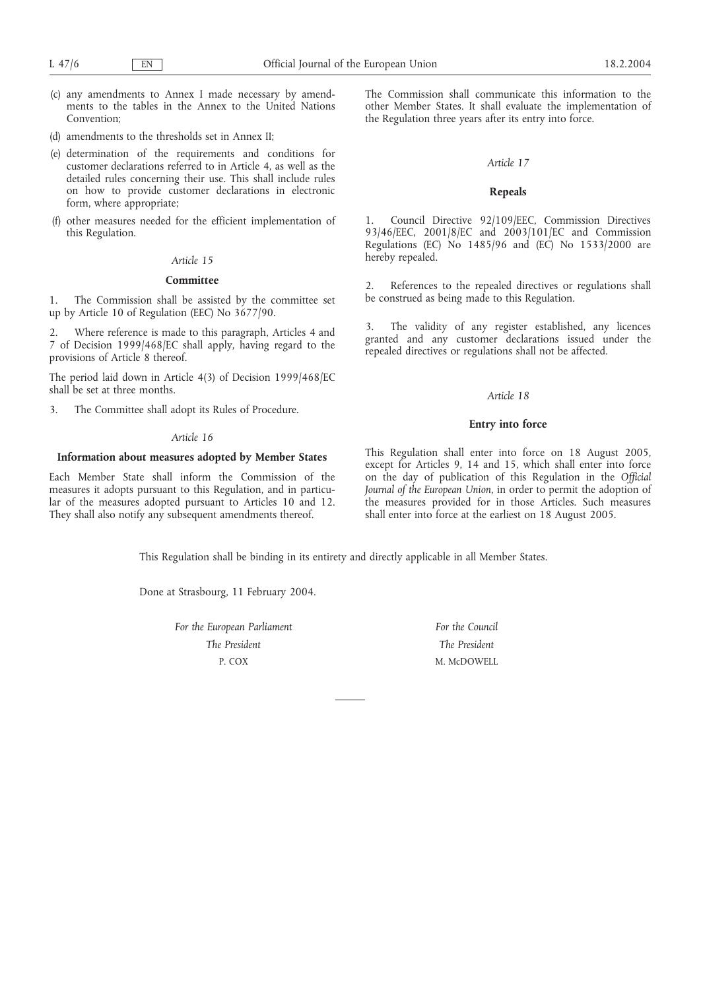- (c) any amendments to Annex I made necessary by amendments to the tables in the Annex to the United Nations Convention;
- (d) amendments to the thresholds set in Annex II;
- (e) determination of the requirements and conditions for customer declarations referred to in Article 4, as well as the detailed rules concerning their use. This shall include rules on how to provide customer declarations in electronic form, where appropriate;
- (f) other measures needed for the efficient implementation of this Regulation.

# *Article 15*

# **Committee**

1. The Commission shall be assisted by the committee set up by Article 10 of Regulation (EEC) No 3677/90.

Where reference is made to this paragraph, Articles 4 and 7 of Decision 1999/468/EC shall apply, having regard to the provisions of Article 8 thereof.

The period laid down in Article 4(3) of Decision 1999/468/EC shall be set at three months.

3. The Committee shall adopt its Rules of Procedure.

#### *Article 16*

# **Information about measures adopted by Member States**

Each Member State shall inform the Commission of the measures it adopts pursuant to this Regulation, and in particular of the measures adopted pursuant to Articles 10 and 12. They shall also notify any subsequent amendments thereof.

The Commission shall communicate this information to the other Member States. It shall evaluate the implementation of the Regulation three years after its entry into force.

# *Article 17*

## **Repeals**

1. Council Directive 92/109/EEC, Commission Directives 93/46/EEC, 2001/8/EC and 2003/101/EC and Commission Regulations (EC) No 1485/96 and (EC) No 1533/2000 are hereby repealed.

2. References to the repealed directives or regulations shall be construed as being made to this Regulation.

3. The validity of any register established, any licences granted and any customer declarations issued under the repealed directives or regulations shall not be affected.

#### *Article 18*

# **Entry into force**

This Regulation shall enter into force on 18 August 2005, except for Articles 9, 14 and 15, which shall enter into force on the day of publication of this Regulation in the *Official Journal of the European Union*, in order to permit the adoption of the measures provided for in those Articles. Such measures shall enter into force at the earliest on 18 August 2005.

This Regulation shall be binding in its entirety and directly applicable in all Member States.

Done at Strasbourg, 11 February 2004.

*For the European Parliament The President* P. COX

*For the Council The President* M. McDOWELL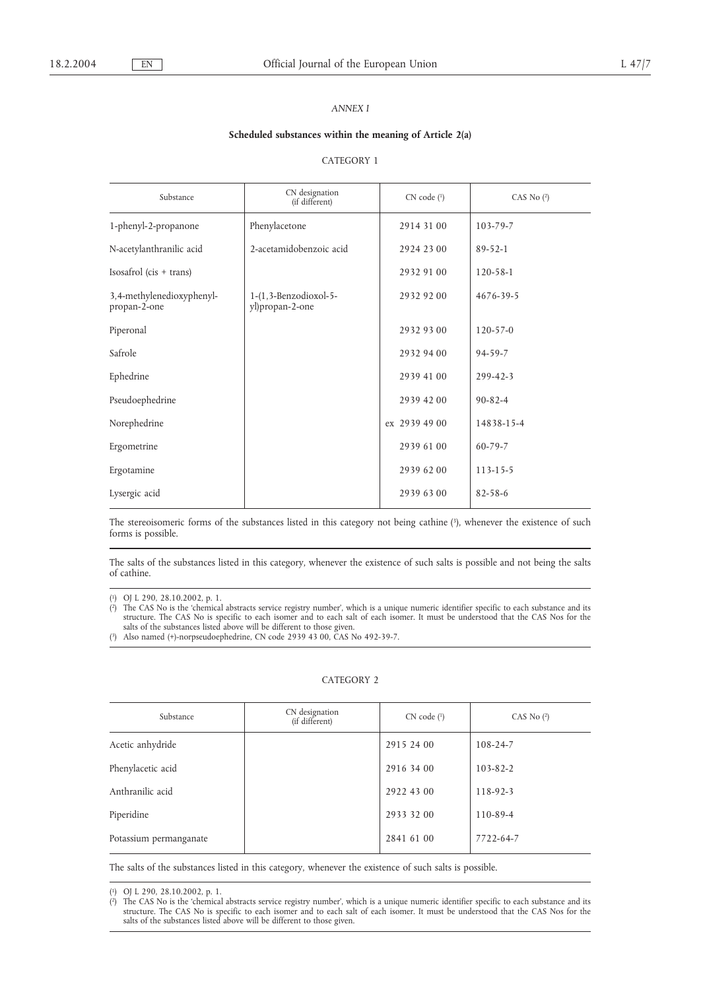# *ANNEX I*

## **Scheduled substances within the meaning of Article 2(a)**

# CATEGORY 1

| Substance                                 | CN designation<br>(if different)            | CN code (1)   | CAS No $(2)$   |
|-------------------------------------------|---------------------------------------------|---------------|----------------|
| 1-phenyl-2-propanone                      | Phenylacetone                               | 2914 31 00    | $103 - 79 - 7$ |
| N-acetylanthranilic acid                  | 2-acetamidobenzoic acid                     | 2924 23 00    | $89 - 52 - 1$  |
| $Isosafrol$ (cis + trans)                 |                                             | 2932 91 00    | $120 - 58 - 1$ |
| 3,4-methylenedioxyphenyl-<br>propan-2-one | $1-(1, 3-Benzodioxol-5-$<br>yl)propan-2-one | 2932 92 00    | 4676-39-5      |
| Piperonal                                 |                                             | 2932 93 00    | $120 - 57 - 0$ |
| Safrole                                   |                                             | 2932 94 00    | $94 - 59 - 7$  |
| Ephedrine                                 |                                             | 2939 41 00    | $299 - 42 - 3$ |
| Pseudoephedrine                           |                                             | 2939 42 00    | $90 - 82 - 4$  |
| Norephedrine                              |                                             | ex 2939 49 00 | 14838-15-4     |
| Ergometrine                               |                                             | 2939 61 00    | $60 - 79 - 7$  |
| Ergotamine                                |                                             | 2939 62 00    | $113 - 15 - 5$ |
| Lysergic acid                             |                                             | 2939 63 00    | $82 - 58 - 6$  |

The stereoisomeric forms of the substances listed in this category not being cathine (3), whenever the existence of such forms is possible.

The salts of the substances listed in this category, whenever the existence of such salts is possible and not being the salts of cathine.

( 1) OJ L 290, 28.10.2002, p. 1.

( 2) The CAS No is the 'chemical abstracts service registry number', which is a unique numeric identifier specific to each substance and its structure. The CAS No is specific to each isomer and to each salt of each isomer. It must be understood that the CAS Nos for the salts of the substances listed above will be different to those given.

( 3) Also named (+)-norpseudoephedrine, CN code 2939 43 00, CAS No 492-39-7.

# CATEGORY 2

| Substance              | CN designation<br>(if different) | CN code (1) | CAS No $(2)$   |
|------------------------|----------------------------------|-------------|----------------|
| Acetic anhydride       |                                  | 2915 24 00  | 108-24-7       |
| Phenylacetic acid      |                                  | 2916 34 00  | $103 - 82 - 2$ |
| Anthranilic acid       |                                  | 2922 43 00  | 118-92-3       |
| Piperidine             |                                  | 2933 32 00  | 110-89-4       |
| Potassium permanganate |                                  | 2841 61 00  | 7722-64-7      |

The salts of the substances listed in this category, whenever the existence of such salts is possible.

 $\chi^2$ 2) The CAS No is the 'chemical abstracts service registry number', which is a unique numeric identifier specific to each substance and its structure. The CAS No is specific to each isomer and to each salt of each isomer. It must be understood that the CAS Nos for the salts of the substances listed above will be different to those given.

 $(1)$ 1) OJ L 290, 28.10.2002, p. 1.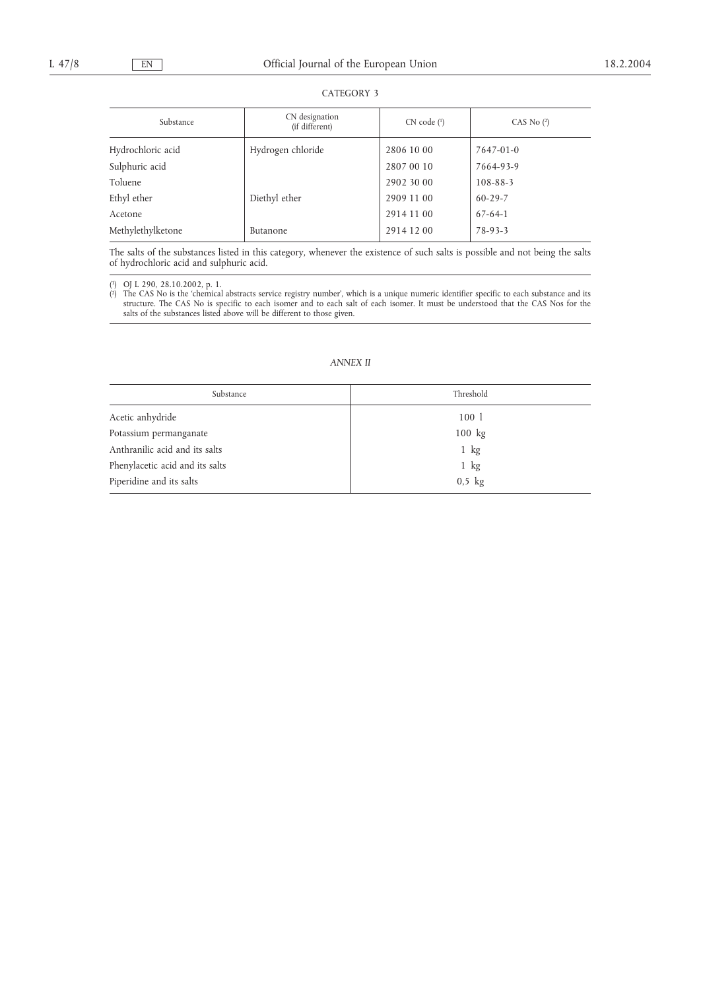# CATEGORY 3

| Substance         | CN designation<br>(if different) | CN code (1) | CAS No $(2)$  |
|-------------------|----------------------------------|-------------|---------------|
| Hydrochloric acid | Hydrogen chloride                | 2806 10 00  | 7647-01-0     |
| Sulphuric acid    |                                  | 2807 00 10  | 7664-93-9     |
| Toluene           |                                  | 2902 30 00  | 108-88-3      |
| Ethyl ether       | Diethyl ether                    | 2909 11 00  | $60 - 29 - 7$ |
| Acetone           |                                  | 2914 11 00  | $67 - 64 - 1$ |
| Methylethylketone | Butanone                         | 2914 12 00  | $78-93-3$     |

The salts of the substances listed in this category, whenever the existence of such salts is possible and not being the salts of hydrochloric acid and sulphuric acid.

( 1) OJ L 290, 28.10.2002, p. 1.

( 2) The CAS No is the 'chemical abstracts service registry number', which is a unique numeric identifier specific to each substance and its structure. The CAS No is specific to each isomer and to each salt of each isomer. It must be understood that the CAS Nos for the salts of the substances listed above will be different to those given.

# *ANNEX II*

| Substance                       | Threshold      |  |  |
|---------------------------------|----------------|--|--|
| Acetic anhydride                | 100 1          |  |  |
| Potassium permanganate          | $100$ kg       |  |  |
| Anthranilic acid and its salts  | $1$ kg         |  |  |
| Phenylacetic acid and its salts | $1 \text{ kg}$ |  |  |
| Piperidine and its salts        | $0,5$ kg       |  |  |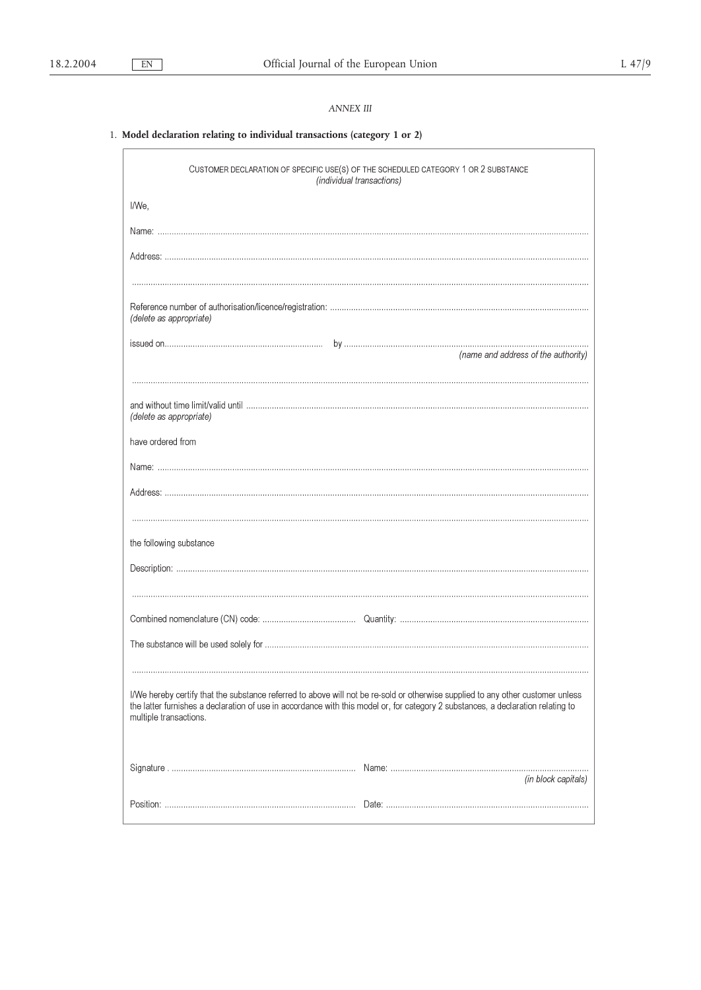# *ANNEX III*

# 1. **Model declaration relating to individual transactions (category 1 or 2)**

| CUSTOMER DECLARATION OF SPECIFIC USE(S) OF THE SCHEDULED CATEGORY 1 OR 2 SUBSTANCE<br>(individual transactions)                                                                                                                                                                               |
|-----------------------------------------------------------------------------------------------------------------------------------------------------------------------------------------------------------------------------------------------------------------------------------------------|
| I/We,                                                                                                                                                                                                                                                                                         |
|                                                                                                                                                                                                                                                                                               |
|                                                                                                                                                                                                                                                                                               |
|                                                                                                                                                                                                                                                                                               |
| (delete as appropriate)                                                                                                                                                                                                                                                                       |
| (name and address of the authority)                                                                                                                                                                                                                                                           |
|                                                                                                                                                                                                                                                                                               |
| (delete as appropriate)                                                                                                                                                                                                                                                                       |
| have ordered from                                                                                                                                                                                                                                                                             |
|                                                                                                                                                                                                                                                                                               |
|                                                                                                                                                                                                                                                                                               |
|                                                                                                                                                                                                                                                                                               |
| the following substance                                                                                                                                                                                                                                                                       |
|                                                                                                                                                                                                                                                                                               |
|                                                                                                                                                                                                                                                                                               |
|                                                                                                                                                                                                                                                                                               |
|                                                                                                                                                                                                                                                                                               |
|                                                                                                                                                                                                                                                                                               |
| I/We hereby certify that the substance referred to above will not be re-sold or otherwise supplied to any other customer unless<br>the latter furnishes a declaration of use in accordance with this model or, for category 2 substances, a declaration relating to<br>multiple transactions. |
| (in block capitals)                                                                                                                                                                                                                                                                           |
|                                                                                                                                                                                                                                                                                               |